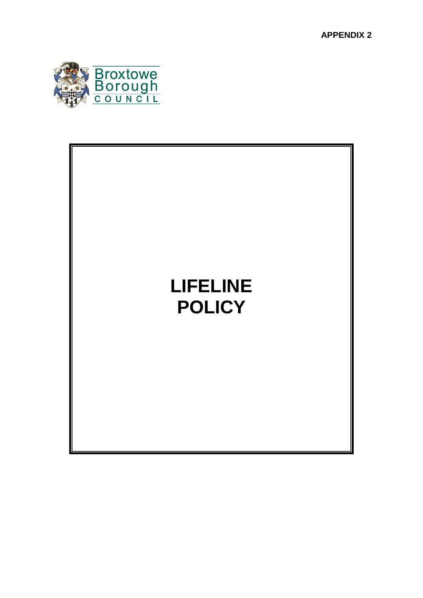**APPENDIX 2**



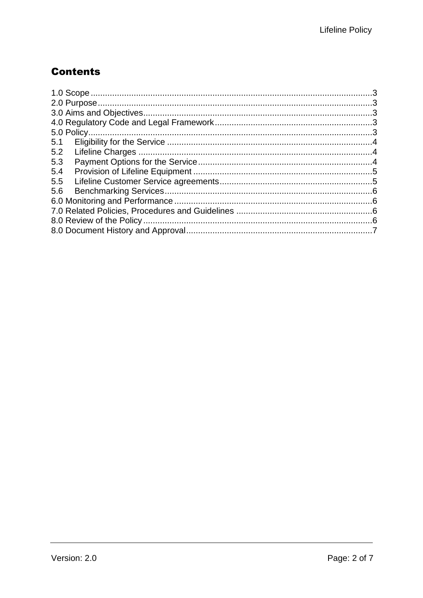## **Contents**

| 5.1 |  |
|-----|--|
| 5.2 |  |
| 5.3 |  |
| 5.4 |  |
| 5.5 |  |
| 5.6 |  |
|     |  |
|     |  |
|     |  |
|     |  |
|     |  |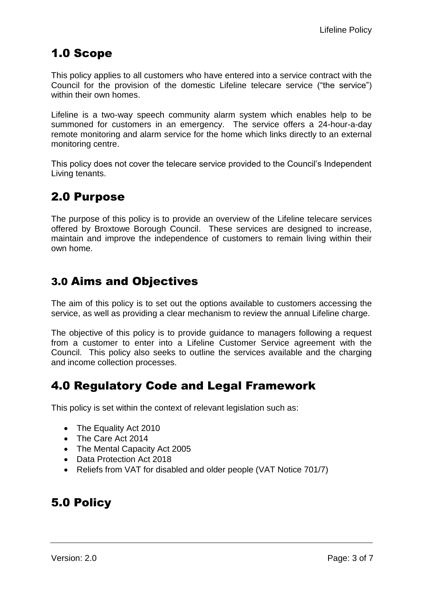# <span id="page-2-0"></span>1.0 Scope

This policy applies to all customers who have entered into a service contract with the Council for the provision of the domestic Lifeline telecare service ("the service") within their own homes.

Lifeline is a two-way speech community alarm system which enables help to be summoned for customers in an emergency. The service offers a 24-hour-a-day remote monitoring and alarm service for the home which links directly to an external monitoring centre.

This policy does not cover the telecare service provided to the Council's Independent Living tenants.

# <span id="page-2-1"></span>2.0 Purpose

The purpose of this policy is to provide an overview of the Lifeline telecare services offered by Broxtowe Borough Council. These services are designed to increase, maintain and improve the independence of customers to remain living within their own home.

## <span id="page-2-2"></span>3.0 Aims and Objectives

The aim of this policy is to set out the options available to customers accessing the service, as well as providing a clear mechanism to review the annual Lifeline charge.

The objective of this policy is to provide guidance to managers following a request from a customer to enter into a Lifeline Customer Service agreement with the Council. This policy also seeks to outline the services available and the charging and income collection processes.

### <span id="page-2-3"></span>4.0 Regulatory Code and Legal Framework

This policy is set within the context of relevant legislation such as:

- The Equality Act 2010
- The Care Act 2014
- The Mental Capacity Act 2005
- Data Protection Act 2018
- Reliefs from VAT for disabled and older people (VAT Notice 701/7)

# <span id="page-2-4"></span>5.0 Policy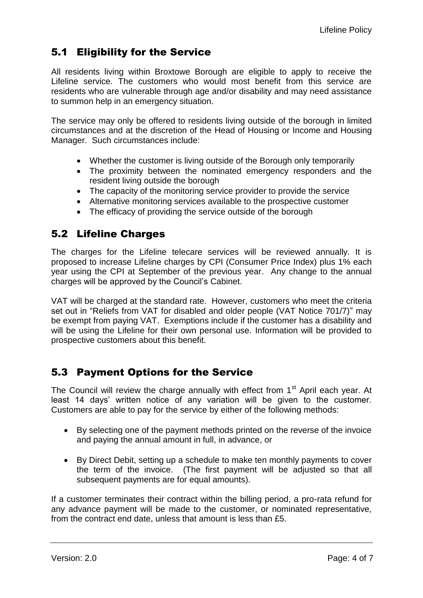### <span id="page-3-0"></span>5.1 Eligibility for the Service

All residents living within Broxtowe Borough are eligible to apply to receive the Lifeline service. The customers who would most benefit from this service are residents who are vulnerable through age and/or disability and may need assistance to summon help in an emergency situation.

The service may only be offered to residents living outside of the borough in limited circumstances and at the discretion of the Head of Housing or Income and Housing Manager. Such circumstances include:

- Whether the customer is living outside of the Borough only temporarily
- The proximity between the nominated emergency responders and the resident living outside the borough
- The capacity of the monitoring service provider to provide the service
- Alternative monitoring services available to the prospective customer
- The efficacy of providing the service outside of the borough

#### <span id="page-3-1"></span>5.2 Lifeline Charges

The charges for the Lifeline telecare services will be reviewed annually. It is proposed to increase Lifeline charges by CPI (Consumer Price Index) plus 1% each year using the CPI at September of the previous year. Any change to the annual charges will be approved by the Council's Cabinet.

VAT will be charged at the standard rate. However, customers who meet the criteria set out in "Reliefs from VAT for disabled and older people (VAT Notice 701/7)" may be exempt from paying VAT. Exemptions include if the customer has a disability and will be using the Lifeline for their own personal use. Information will be provided to prospective customers about this benefit.

#### <span id="page-3-2"></span>5.3 Payment Options for the Service

The Council will review the charge annually with effect from  $1<sup>st</sup>$  April each year. At least 14 days' written notice of any variation will be given to the customer. Customers are able to pay for the service by either of the following methods:

- By selecting one of the payment methods printed on the reverse of the invoice and paying the annual amount in full, in advance, or
- By Direct Debit, setting up a schedule to make ten monthly payments to cover the term of the invoice. (The first payment will be adjusted so that all subsequent payments are for equal amounts).

If a customer terminates their contract within the billing period, a pro-rata refund for any advance payment will be made to the customer, or nominated representative, from the contract end date, unless that amount is less than £5.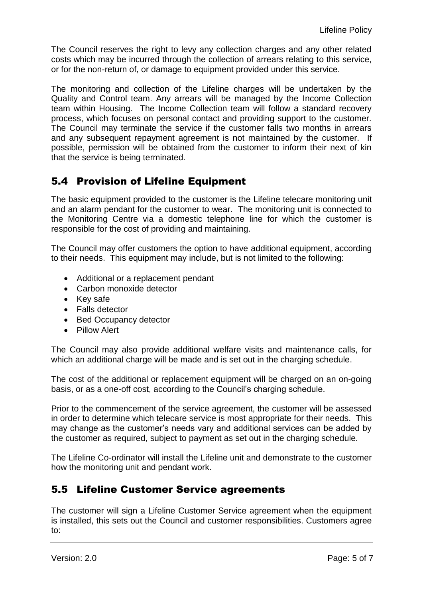The Council reserves the right to levy any collection charges and any other related costs which may be incurred through the collection of arrears relating to this service, or for the non-return of, or damage to equipment provided under this service.

The monitoring and collection of the Lifeline charges will be undertaken by the Quality and Control team. Any arrears will be managed by the Income Collection team within Housing. The Income Collection team will follow a standard recovery process, which focuses on personal contact and providing support to the customer. The Council may terminate the service if the customer falls two months in arrears and any subsequent repayment agreement is not maintained by the customer. If possible, permission will be obtained from the customer to inform their next of kin that the service is being terminated.

#### <span id="page-4-0"></span>5.4 Provision of Lifeline Equipment

The basic equipment provided to the customer is the Lifeline telecare monitoring unit and an alarm pendant for the customer to wear. The monitoring unit is connected to the Monitoring Centre via a domestic telephone line for which the customer is responsible for the cost of providing and maintaining.

The Council may offer customers the option to have additional equipment, according to their needs. This equipment may include, but is not limited to the following:

- Additional or a replacement pendant
- Carbon monoxide detector
- Key safe
- Falls detector
- Bed Occupancy detector
- Pillow Alert

The Council may also provide additional welfare visits and maintenance calls, for which an additional charge will be made and is set out in the charging schedule.

The cost of the additional or replacement equipment will be charged on an on-going basis, or as a one-off cost, according to the Council's charging schedule.

Prior to the commencement of the service agreement, the customer will be assessed in order to determine which telecare service is most appropriate for their needs. This may change as the customer's needs vary and additional services can be added by the customer as required, subject to payment as set out in the charging schedule.

The Lifeline Co-ordinator will install the Lifeline unit and demonstrate to the customer how the monitoring unit and pendant work.

#### <span id="page-4-1"></span>5.5 Lifeline Customer Service agreements

The customer will sign a Lifeline Customer Service agreement when the equipment is installed, this sets out the Council and customer responsibilities. Customers agree to: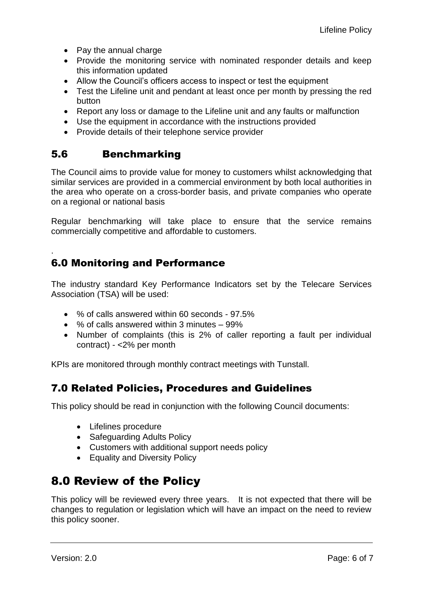- Pay the annual charge
- Provide the monitoring service with nominated responder details and keep this information updated
- Allow the Council's officers access to inspect or test the equipment
- Test the Lifeline unit and pendant at least once per month by pressing the red button
- Report any loss or damage to the Lifeline unit and any faults or malfunction
- Use the equipment in accordance with the instructions provided
- Provide details of their telephone service provider

#### <span id="page-5-0"></span>5.6 Benchmarking

.

The Council aims to provide value for money to customers whilst acknowledging that similar services are provided in a commercial environment by both local authorities in the area who operate on a cross-border basis, and private companies who operate on a regional or national basis

Regular benchmarking will take place to ensure that the service remains commercially competitive and affordable to customers.

### <span id="page-5-1"></span>6.0 Monitoring and Performance

The industry standard Key Performance Indicators set by the Telecare Services Association (TSA) will be used:

- % of calls answered within 60 seconds 97.5%
- % of calls answered within 3 minutes 99%
- Number of complaints (this is 2% of caller reporting a fault per individual contract) - <2% per month

KPIs are monitored through monthly contract meetings with Tunstall.

#### <span id="page-5-2"></span>7.0 Related Policies, Procedures and Guidelines

This policy should be read in conjunction with the following Council documents:

- Lifelines procedure
- Safeguarding Adults Policy
- Customers with additional support needs policy
- Equality and Diversity Policy

### <span id="page-5-3"></span>8.0 Review of the Policy

This policy will be reviewed every three years. It is not expected that there will be changes to regulation or legislation which will have an impact on the need to review this policy sooner.